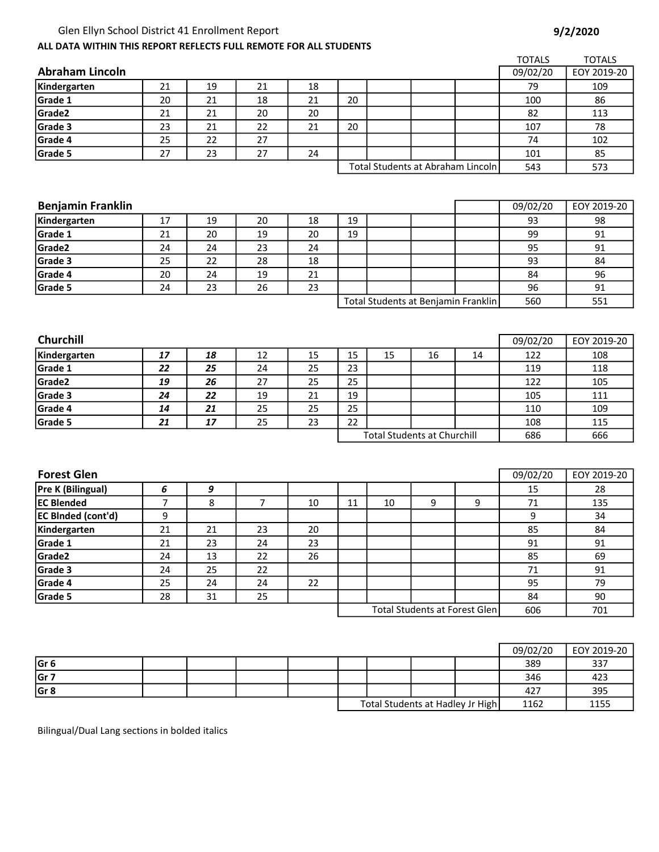## Glen Ellyn School District 41 Enrollment Report and the state of the state of the state 9/2/2020

1162 1155

Total Students at Hadley Jr High

| ALL DATA WITHIN THIS REPORT REFLECTS FULL REMOTE FOR ALL STUDENTS |    |    |    |        |                                    |    |    |                                      |               |               |
|-------------------------------------------------------------------|----|----|----|--------|------------------------------------|----|----|--------------------------------------|---------------|---------------|
|                                                                   |    |    |    |        |                                    |    |    |                                      | <b>TOTALS</b> | <b>TOTALS</b> |
| <b>Abraham Lincoln</b>                                            |    |    |    |        |                                    |    |    |                                      | 09/02/20      | EOY 2019-20   |
| Kindergarten                                                      | 21 | 19 | 21 | 18     |                                    |    |    |                                      | 79            | 109           |
| Grade 1                                                           | 20 | 21 | 18 | 21     | 20                                 |    |    |                                      | 100           | 86            |
| Grade2                                                            | 21 | 21 | 20 | 20     |                                    |    |    |                                      | 82            | 113           |
| Grade 3                                                           | 23 | 21 | 22 | 21     | 20                                 |    |    |                                      | 107           | 78            |
| Grade 4                                                           | 25 | 22 | 27 |        |                                    |    |    |                                      | 74            | 102           |
| Grade 5                                                           | 27 | 23 | 27 | 24     |                                    |    |    |                                      | 101           | 85            |
|                                                                   |    |    |    |        |                                    |    |    | Total Students at Abraham Lincoln    | 543           | 573           |
|                                                                   |    |    |    |        |                                    |    |    |                                      |               |               |
|                                                                   |    |    |    |        |                                    |    |    |                                      |               |               |
| <b>Benjamin Franklin</b>                                          |    |    |    |        |                                    |    |    |                                      | 09/02/20      | EOY 2019-20   |
| Kindergarten                                                      | 17 | 19 | 20 | 18     | 19                                 |    |    |                                      | 93            | 98            |
| Grade 1                                                           | 21 | 20 | 19 | 20     | 19                                 |    |    |                                      | 99            | 91            |
| Grade2                                                            | 24 | 24 | 23 | 24     |                                    |    |    |                                      | 95            | 91            |
| Grade 3                                                           | 25 | 22 | 28 | 18     |                                    |    |    |                                      | 93            | 84            |
| Grade 4                                                           | 20 | 24 | 19 | 21     |                                    |    |    |                                      | 84            | 96            |
| Grade 5                                                           | 24 | 23 | 26 | 23     |                                    |    |    |                                      | 96            | 91            |
|                                                                   |    |    |    |        |                                    |    |    | Total Students at Benjamin Franklin  | 560           | 551           |
|                                                                   |    |    |    |        |                                    |    |    |                                      |               |               |
|                                                                   |    |    |    |        |                                    |    |    |                                      |               |               |
| <b>Churchill</b>                                                  |    |    |    |        |                                    |    |    |                                      | 09/02/20      | EOY 2019-20   |
| Kindergarten                                                      | 17 | 18 | 12 | 15     | 15                                 | 15 | 16 | 14                                   | 122           | 108           |
| Grade 1                                                           | 22 | 25 | 24 | 25     | 23                                 |    |    |                                      | 119           | 118           |
| Grade2                                                            | 19 | 26 | 27 | 25     | 25                                 |    |    |                                      | 122           | 105           |
| Grade 3                                                           | 24 | 22 | 19 | 21     | 19                                 |    |    |                                      | 105           | 111           |
| Grade 4                                                           | 14 | 21 | 25 | 25     | 25                                 |    |    |                                      | 110           | 109           |
| Grade 5                                                           | 21 | 17 | 25 | 23     | 22                                 |    |    |                                      | 108           | 115           |
|                                                                   |    |    |    |        | <b>Total Students at Churchill</b> |    |    | 686                                  | 666           |               |
|                                                                   |    |    |    |        |                                    |    |    |                                      |               |               |
|                                                                   |    |    |    |        |                                    |    |    |                                      |               |               |
| <b>Forest Glen</b>                                                |    |    |    |        |                                    |    |    |                                      | 09/02/20      | EOY 2019-20   |
| Pre K (Bilingual)                                                 | 6  | 9  |    |        |                                    |    |    |                                      | 15            | 28            |
| <b>EC Blended</b>                                                 | 7  | 8  | 7  | 10     | 11                                 | 10 | 9  | 9                                    | 71            | 135           |
| EC BInded (cont'd)                                                | 9  |    |    |        |                                    |    |    |                                      | 9             | 34            |
| Kindergarten                                                      | 21 | 21 | 23 | $20\,$ |                                    |    |    |                                      | 85            | 84            |
| Grade 1                                                           | 21 | 23 | 24 | 23     |                                    |    |    |                                      | 91            | 91            |
| Grade2                                                            | 24 | 13 | 22 | 26     |                                    |    |    |                                      | 85            | 69            |
| Grade 3                                                           | 24 | 25 | 22 |        |                                    |    |    |                                      | $71\,$        | 91            |
| Grade 4                                                           | 25 | 24 | 24 | 22     |                                    |    |    |                                      | 95            | 79            |
| Grade 5                                                           | 28 | 31 | 25 |        |                                    |    |    |                                      | 84            | 90            |
|                                                                   |    |    |    |        |                                    |    |    | <b>Total Students at Forest Glen</b> | 606           | 701           |
|                                                                   |    |    |    |        |                                    |    |    |                                      |               |               |
|                                                                   |    |    |    |        |                                    |    |    |                                      |               |               |
|                                                                   |    |    |    |        |                                    |    |    |                                      | 09/02/20      | EOY 2019-20   |
| Gr <sub>6</sub>                                                   |    |    |    |        |                                    |    |    |                                      | 389           | 337           |
| Gr 7                                                              |    |    |    |        |                                    |    |    |                                      | 346           | 423           |
| $\overline{Gr8}$                                                  |    |    |    |        |                                    |    |    |                                      | 427           | 395           |

Bilingual/Dual Lang sections in bolded italics